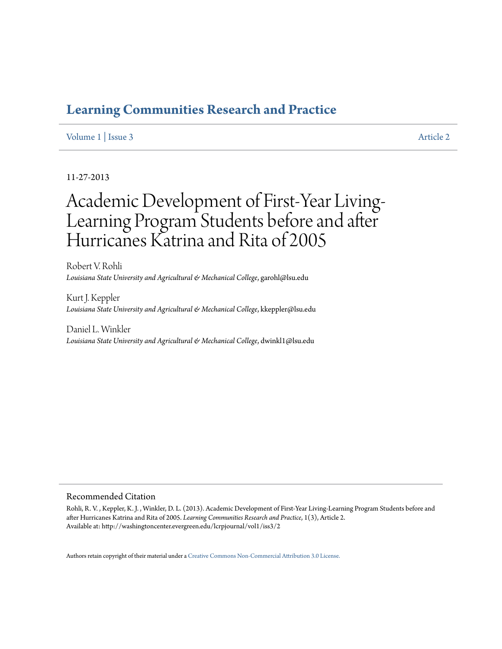## **[Learning Communities Research and Practice](http://washingtoncenter.evergreen.edu/lcrpjournal)**

## [Volume 1](http://washingtoncenter.evergreen.edu/lcrpjournal/vol1) | [Issue 3](http://washingtoncenter.evergreen.edu/lcrpjournal/vol1/iss3) [Article 2](http://washingtoncenter.evergreen.edu/lcrpjournal/vol1/iss3/2)

## 11-27-2013

# Academic Development of First-Year Living-Learning Program Students before and after Hurricanes Katrina and Rita of 2005

Robert V. Rohli *Louisiana State University and Agricultural & Mechanical College*, garohl@lsu.edu

Kurt J. Keppler *Louisiana State University and Agricultural & Mechanical College*, kkeppler@lsu.edu

Daniel L. Winkler *Louisiana State University and Agricultural & Mechanical College*, dwinkl1@lsu.edu

#### Recommended Citation

Rohli, R. V. , Keppler, K. J. , Winkler, D. L. (2013). Academic Development of First-Year Living-Learning Program Students before and after Hurricanes Katrina and Rita of 2005. *Learning Communities Research and Practice*, 1(3), Article 2. Available at: http://washingtoncenter.evergreen.edu/lcrpjournal/vol1/iss3/2

Authors retain copyright of their material under a [Creative Commons Non-Commercial Attribution 3.0 License.](http://creativecommons.org/licenses/by-nc/3.0/)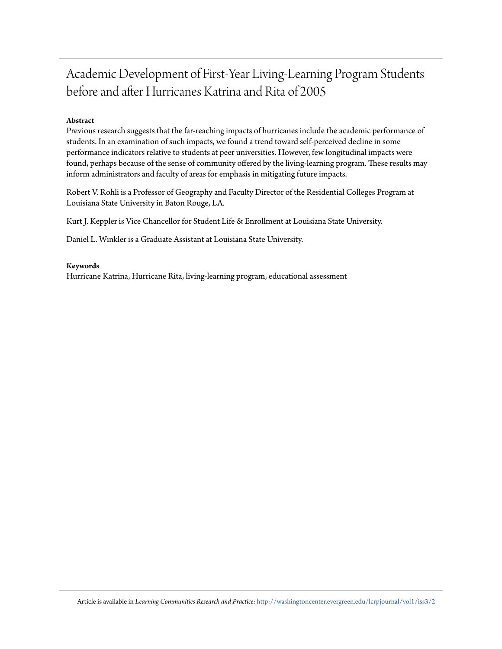## Academic Development of First-Year Living-Learning Program Students before and after Hurricanes Katrina and Rita of 2005

## **Abstract**

Previous research suggests that the far-reaching impacts of hurricanes include the academic performance of students. In an examination of such impacts, we found a trend toward self-perceived decline in some performance indicators relative to students at peer universities. However, few longitudinal impacts were found, perhaps because of the sense of community offered by the living-learning program. These results may inform administrators and faculty of areas for emphasis in mitigating future impacts.

Robert V. Rohli is a Professor of Geography and Faculty Director of the Residential Colleges Program at Louisiana State University in Baton Rouge, LA.

Kurt J. Keppler is Vice Chancellor for Student Life & Enrollment at Louisiana State University.

Daniel L. Winkler is a Graduate Assistant at Louisiana State University.

#### **Keywords**

Hurricane Katrina, Hurricane Rita, living-learning program, educational assessment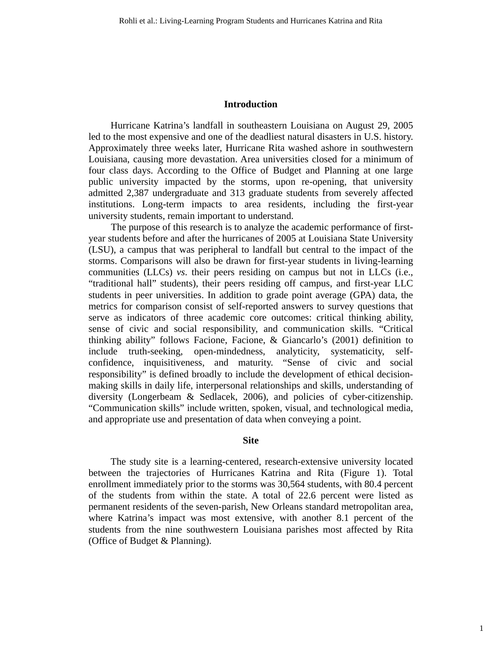#### **Introduction**

Hurricane Katrina's landfall in southeastern Louisiana on August 29, 2005 led to the most expensive and one of the deadliest natural disasters in U.S. history. Approximately three weeks later, Hurricane Rita washed ashore in southwestern Louisiana, causing more devastation. Area universities closed for a minimum of four class days. According to the Office of Budget and Planning at one large public university impacted by the storms, upon re-opening, that university admitted 2,387 undergraduate and 313 graduate students from severely affected institutions. Long-term impacts to area residents, including the first-year university students, remain important to understand.

The purpose of this research is to analyze the academic performance of firstyear students before and after the hurricanes of 2005 at Louisiana State University (LSU), a campus that was peripheral to landfall but central to the impact of the storms. Comparisons will also be drawn for first-year students in living-learning communities (LLCs) *vs*. their peers residing on campus but not in LLCs (i.e., "traditional hall" students), their peers residing off campus, and first-year LLC students in peer universities. In addition to grade point average (GPA) data, the metrics for comparison consist of self-reported answers to survey questions that serve as indicators of three academic core outcomes: critical thinking ability, sense of civic and social responsibility, and communication skills. "Critical thinking ability" follows Facione, Facione, & Giancarlo's (2001) definition to include truth-seeking, open-mindedness, analyticity, systematicity, selfconfidence, inquisitiveness, and maturity. "Sense of civic and social responsibility" is defined broadly to include the development of ethical decisionmaking skills in daily life, interpersonal relationships and skills, understanding of diversity (Longerbeam & Sedlacek, 2006), and policies of cyber-citizenship. "Communication skills" include written, spoken, visual, and technological media, and appropriate use and presentation of data when conveying a point.

#### **Site**

The study site is a learning-centered, research-extensive university located between the trajectories of Hurricanes Katrina and Rita (Figure 1). Total enrollment immediately prior to the storms was 30,564 students, with 80.4 percent of the students from within the state. A total of 22.6 percent were listed as permanent residents of the seven-parish, New Orleans standard metropolitan area, where Katrina's impact was most extensive, with another 8.1 percent of the students from the nine southwestern Louisiana parishes most affected by Rita (Office of Budget & Planning).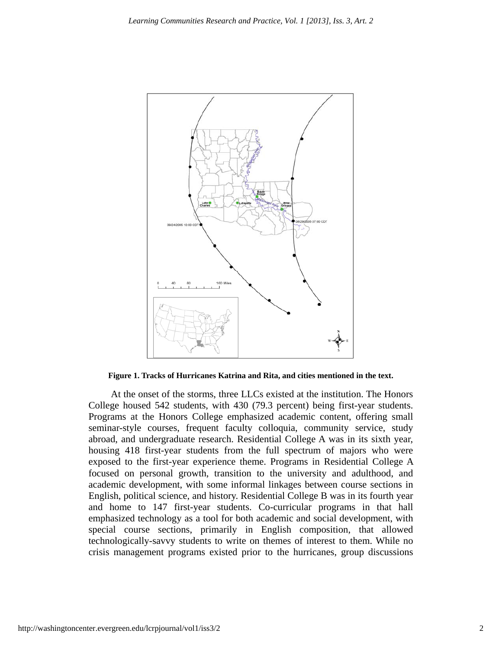

**Figure 1. Tracks of Hurricanes Katrina and Rita, and cities mentioned in the text.** 

At the onset of the storms, three LLCs existed at the institution. The Honors College housed 542 students, with 430 (79.3 percent) being first-year students. Programs at the Honors College emphasized academic content, offering small seminar-style courses, frequent faculty colloquia, community service, study abroad, and undergraduate research. Residential College A was in its sixth year, housing 418 first-year students from the full spectrum of majors who were exposed to the first-year experience theme. Programs in Residential College A focused on personal growth, transition to the university and adulthood, and academic development, with some informal linkages between course sections in English, political science, and history. Residential College B was in its fourth year and home to 147 first-year students. Co-curricular programs in that hall emphasized technology as a tool for both academic and social development, with special course sections, primarily in English composition, that allowed technologically-savvy students to write on themes of interest to them. While no crisis management programs existed prior to the hurricanes, group discussions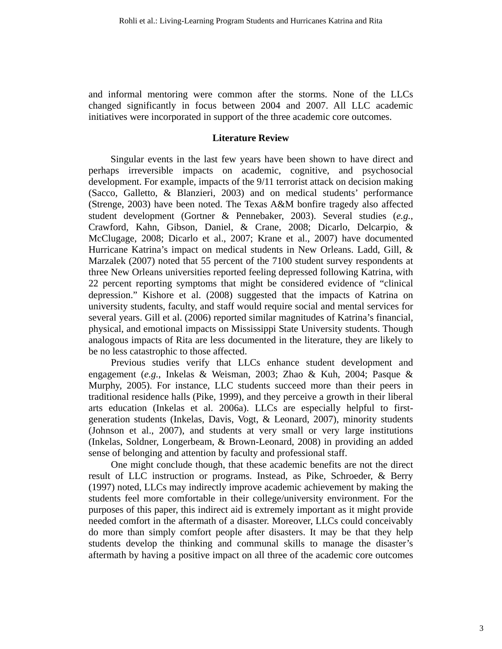and informal mentoring were common after the storms. None of the LLCs changed significantly in focus between 2004 and 2007. All LLC academic initiatives were incorporated in support of the three academic core outcomes.

### **Literature Review**

Singular events in the last few years have been shown to have direct and perhaps irreversible impacts on academic, cognitive, and psychosocial development. For example, impacts of the 9/11 terrorist attack on decision making (Sacco, Galletto, & Blanzieri, 2003) and on medical students' performance (Strenge, 2003) have been noted. The Texas A&M bonfire tragedy also affected student development (Gortner & Pennebaker, 2003). Several studies (*e.g.*, Crawford, Kahn, Gibson, Daniel, & Crane, 2008; Dicarlo, Delcarpio, & McClugage, 2008; Dicarlo et al., 2007; Krane et al., 2007) have documented Hurricane Katrina's impact on medical students in New Orleans. Ladd, Gill, & Marzalek (2007) noted that 55 percent of the 7100 student survey respondents at three New Orleans universities reported feeling depressed following Katrina, with 22 percent reporting symptoms that might be considered evidence of "clinical depression." Kishore et al. (2008) suggested that the impacts of Katrina on university students, faculty, and staff would require social and mental services for several years. Gill et al. (2006) reported similar magnitudes of Katrina's financial, physical, and emotional impacts on Mississippi State University students. Though analogous impacts of Rita are less documented in the literature, they are likely to be no less catastrophic to those affected.

Previous studies verify that LLCs enhance student development and engagement (*e.g.*, Inkelas & Weisman, 2003; Zhao & Kuh, 2004; Pasque & Murphy, 2005). For instance, LLC students succeed more than their peers in traditional residence halls (Pike, 1999), and they perceive a growth in their liberal arts education (Inkelas et al. 2006a). LLCs are especially helpful to firstgeneration students (Inkelas, Davis, Vogt, & Leonard, 2007), minority students (Johnson et al., 2007), and students at very small or very large institutions (Inkelas, Soldner, Longerbeam, & Brown-Leonard, 2008) in providing an added sense of belonging and attention by faculty and professional staff.

One might conclude though, that these academic benefits are not the direct result of LLC instruction or programs. Instead, as Pike, Schroeder, & Berry (1997) noted, LLCs may indirectly improve academic achievement by making the students feel more comfortable in their college/university environment. For the purposes of this paper, this indirect aid is extremely important as it might provide needed comfort in the aftermath of a disaster. Moreover, LLCs could conceivably do more than simply comfort people after disasters. It may be that they help students develop the thinking and communal skills to manage the disaster's aftermath by having a positive impact on all three of the academic core outcomes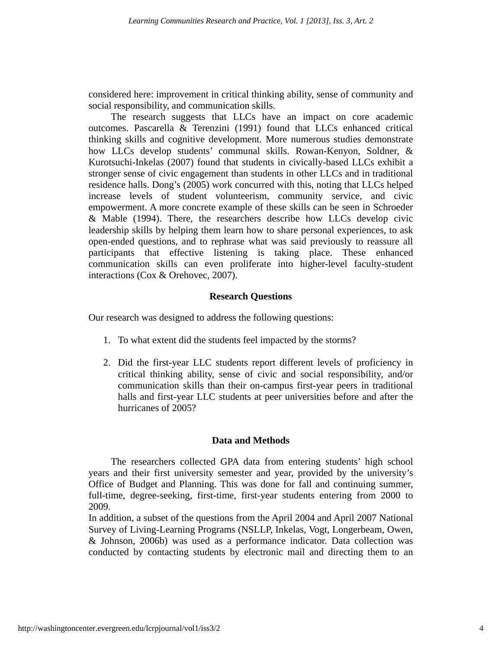considered here: improvement in critical thinking ability, sense of community and social responsibility, and communication skills.

The research suggests that LLCs have an impact on core academic outcomes. Pascarella & Terenzini (1991) found that LLCs enhanced critical thinking skills and cognitive development. More numerous studies demonstrate how LLCs develop students' communal skills. Rowan-Kenyon, Soldner, & Kurotsuchi-Inkelas (2007) found that students in civically-based LLCs exhibit a stronger sense of civic engagement than students in other LLCs and in traditional residence halls. Dong's (2005) work concurred with this, noting that LLCs helped increase levels of student volunteerism, community service, and civic empowerment. A more concrete example of these skills can be seen in Schroeder & Mable (1994). There, the researchers describe how LLCs develop civic leadership skills by helping them learn how to share personal experiences, to ask open-ended questions, and to rephrase what was said previously to reassure all participants that effective listening is taking place. These enhanced communication skills can even proliferate into higher-level faculty-student interactions (Cox & Orehovec, 2007).

## **Research Questions**

Our research was designed to address the following questions:

- 1. To what extent did the students feel impacted by the storms?
- 2. Did the first-year LLC students report different levels of proficiency in critical thinking ability, sense of civic and social responsibility, and/or communication skills than their on-campus first-year peers in traditional halls and first-year LLC students at peer universities before and after the hurricanes of 2005?

## **Data and Methods**

The researchers collected GPA data from entering students' high school years and their first university semester and year, provided by the university's Office of Budget and Planning. This was done for fall and continuing summer, full-time, degree-seeking, first-time, first-year students entering from 2000 to 2009.

In addition, a subset of the questions from the April 2004 and April 2007 National Survey of Living-Learning Programs (NSLLP, Inkelas, Vogt, Longerbeam, Owen, & Johnson, 2006b) was used as a performance indicator. Data collection was conducted by contacting students by electronic mail and directing them to an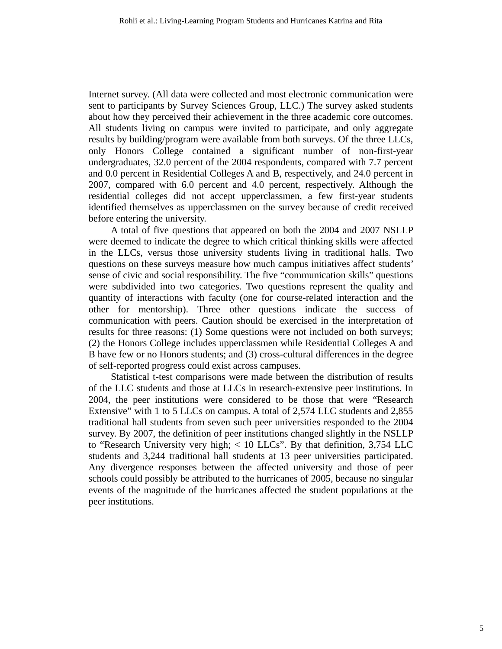Internet survey. (All data were collected and most electronic communication were sent to participants by Survey Sciences Group, LLC.) The survey asked students about how they perceived their achievement in the three academic core outcomes. All students living on campus were invited to participate, and only aggregate results by building/program were available from both surveys. Of the three LLCs, only Honors College contained a significant number of non-first-year undergraduates, 32.0 percent of the 2004 respondents, compared with 7.7 percent and 0.0 percent in Residential Colleges A and B, respectively, and 24.0 percent in 2007, compared with 6.0 percent and 4.0 percent, respectively. Although the residential colleges did not accept upperclassmen, a few first-year students identified themselves as upperclassmen on the survey because of credit received before entering the university.

A total of five questions that appeared on both the 2004 and 2007 NSLLP were deemed to indicate the degree to which critical thinking skills were affected in the LLCs, versus those university students living in traditional halls. Two questions on these surveys measure how much campus initiatives affect students' sense of civic and social responsibility. The five "communication skills" questions were subdivided into two categories. Two questions represent the quality and quantity of interactions with faculty (one for course-related interaction and the other for mentorship). Three other questions indicate the success of communication with peers. Caution should be exercised in the interpretation of results for three reasons: (1) Some questions were not included on both surveys; (2) the Honors College includes upperclassmen while Residential Colleges A and B have few or no Honors students; and (3) cross-cultural differences in the degree of self-reported progress could exist across campuses.

Statistical t-test comparisons were made between the distribution of results of the LLC students and those at LLCs in research-extensive peer institutions. In 2004, the peer institutions were considered to be those that were "Research Extensive" with 1 to 5 LLCs on campus. A total of 2,574 LLC students and 2,855 traditional hall students from seven such peer universities responded to the 2004 survey. By 2007, the definition of peer institutions changed slightly in the NSLLP to "Research University very high; < 10 LLCs". By that definition, 3,754 LLC students and 3,244 traditional hall students at 13 peer universities participated. Any divergence responses between the affected university and those of peer schools could possibly be attributed to the hurricanes of 2005, because no singular events of the magnitude of the hurricanes affected the student populations at the peer institutions.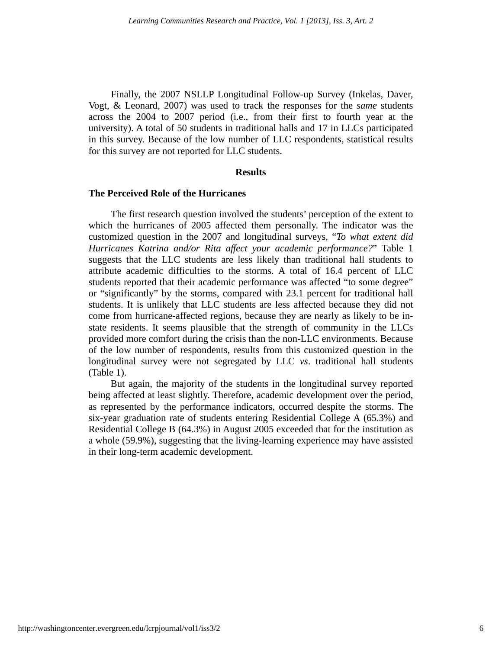Finally, the 2007 NSLLP Longitudinal Follow-up Survey (Inkelas, Daver, Vogt, & Leonard, 2007) was used to track the responses for the *same* students across the 2004 to 2007 period (i.e., from their first to fourth year at the university). A total of 50 students in traditional halls and 17 in LLCs participated in this survey. Because of the low number of LLC respondents, statistical results for this survey are not reported for LLC students.

### **Results**

### **The Perceived Role of the Hurricanes**

The first research question involved the students' perception of the extent to which the hurricanes of 2005 affected them personally. The indicator was the customized question in the 2007 and longitudinal surveys, "*To what extent did Hurricanes Katrina and/or Rita affect your academic performance?*" Table 1 suggests that the LLC students are less likely than traditional hall students to attribute academic difficulties to the storms. A total of 16.4 percent of LLC students reported that their academic performance was affected "to some degree" or "significantly" by the storms, compared with 23.1 percent for traditional hall students. It is unlikely that LLC students are less affected because they did not come from hurricane-affected regions, because they are nearly as likely to be instate residents. It seems plausible that the strength of community in the LLCs provided more comfort during the crisis than the non-LLC environments. Because of the low number of respondents, results from this customized question in the longitudinal survey were not segregated by LLC *vs*. traditional hall students (Table 1).

But again, the majority of the students in the longitudinal survey reported being affected at least slightly. Therefore, academic development over the period, as represented by the performance indicators, occurred despite the storms. The six-year graduation rate of students entering Residential College A (65.3%) and Residential College B (64.3%) in August 2005 exceeded that for the institution as a whole (59.9%), suggesting that the living-learning experience may have assisted in their long-term academic development.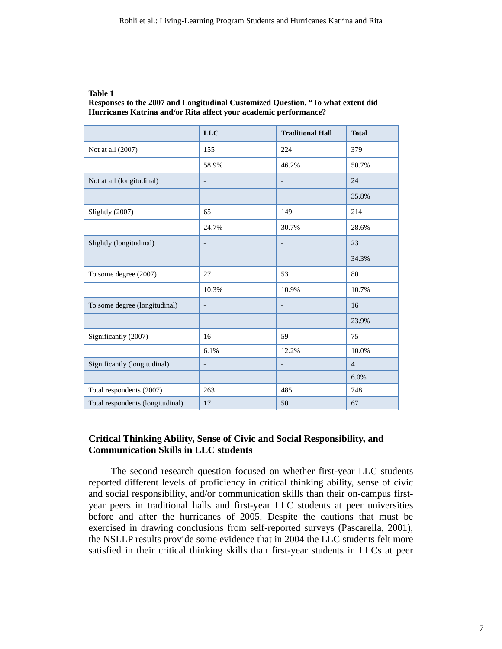### **Table 1**

**Responses to the 2007 and Longitudinal Customized Question, "To what extent did Hurricanes Katrina and/or Rita affect your academic performance?** 

|                                  | <b>LLC</b>               | <b>Traditional Hall</b>  | <b>Total</b>   |
|----------------------------------|--------------------------|--------------------------|----------------|
| Not at all (2007)                | 155                      | 224                      | 379            |
|                                  | 58.9%                    | 46.2%                    | 50.7%          |
| Not at all (longitudinal)        | $\overline{\phantom{a}}$ | $\overline{a}$           | 24             |
|                                  |                          |                          | 35.8%          |
| Slightly (2007)                  | 65                       | 149                      | 214            |
|                                  | 24.7%                    | 30.7%                    | 28.6%          |
| Slightly (longitudinal)          | $\overline{\phantom{a}}$ | $\overline{a}$           | 23             |
|                                  |                          |                          | 34.3%          |
| To some degree (2007)            | 27                       | 53                       | 80             |
|                                  | 10.3%                    | 10.9%                    | 10.7%          |
| To some degree (longitudinal)    | $\overline{\phantom{a}}$ | $\overline{a}$           | 16             |
|                                  |                          |                          | 23.9%          |
| Significantly (2007)             | 16                       | 59                       | 75             |
|                                  | 6.1%                     | 12.2%                    | 10.0%          |
| Significantly (longitudinal)     | $\overline{\phantom{a}}$ | $\overline{\phantom{0}}$ | $\overline{4}$ |
|                                  |                          |                          | 6.0%           |
| Total respondents (2007)         | 263                      | 485                      | 748            |
| Total respondents (longitudinal) | 17                       | 50                       | 67             |

## **Critical Thinking Ability, Sense of Civic and Social Responsibility, and Communication Skills in LLC students**

The second research question focused on whether first-year LLC students reported different levels of proficiency in critical thinking ability, sense of civic and social responsibility, and/or communication skills than their on-campus firstyear peers in traditional halls and first-year LLC students at peer universities before and after the hurricanes of 2005. Despite the cautions that must be exercised in drawing conclusions from self-reported surveys (Pascarella, 2001), the NSLLP results provide some evidence that in 2004 the LLC students felt more satisfied in their critical thinking skills than first-year students in LLCs at peer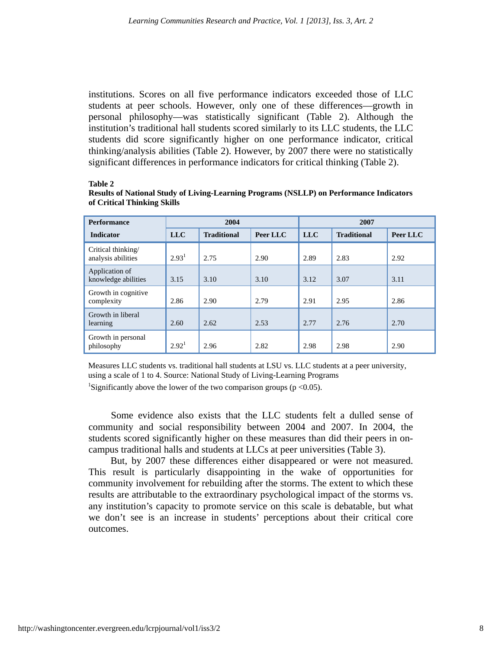institutions. Scores on all five performance indicators exceeded those of LLC students at peer schools. However, only one of these differences—growth in personal philosophy—was statistically significant (Table 2). Although the institution's traditional hall students scored similarly to its LLC students, the LLC students did score significantly higher on one performance indicator, critical thinking/analysis abilities (Table 2). However, by 2007 there were no statistically significant differences in performance indicators for critical thinking (Table 2).

#### **Table 2**

| Results of National Study of Living-Learning Programs (NSLLP) on Performance Indicators |  |
|-----------------------------------------------------------------------------------------|--|
| of Critical Thinking Skills                                                             |  |

| <b>Performance</b>                       | 2004              |                    | 2007     |            |                    |          |
|------------------------------------------|-------------------|--------------------|----------|------------|--------------------|----------|
| <b>Indicator</b>                         | <b>LLC</b>        | <b>Traditional</b> | Peer LLC | <b>LLC</b> | <b>Traditional</b> | Peer LLC |
| Critical thinking/<br>analysis abilities | 2.93 <sup>1</sup> | 2.75               | 2.90     | 2.89       | 2.83               | 2.92     |
| Application of<br>knowledge abilities    | 3.15              | 3.10               | 3.10     | 3.12       | 3.07               | 3.11     |
| Growth in cognitive.<br>complexity       | 2.86              | 2.90               | 2.79     | 2.91       | 2.95               | 2.86     |
| Growth in liberal<br>learning            | 2.60              | 2.62               | 2.53     | 2.77       | 2.76               | 2.70     |
| Growth in personal<br>philosophy         | 2.92 <sup>1</sup> | 2.96               | 2.82     | 2.98       | 2.98               | 2.90     |

Measures LLC students vs. traditional hall students at LSU vs. LLC students at a peer university, using a scale of 1 to 4. Source: National Study of Living-Learning Programs

<sup>1</sup>Significantly above the lower of the two comparison groups ( $p < 0.05$ ).

Some evidence also exists that the LLC students felt a dulled sense of community and social responsibility between 2004 and 2007. In 2004, the students scored significantly higher on these measures than did their peers in oncampus traditional halls and students at LLCs at peer universities (Table 3).

But, by 2007 these differences either disappeared or were not measured. This result is particularly disappointing in the wake of opportunities for community involvement for rebuilding after the storms. The extent to which these results are attributable to the extraordinary psychological impact of the storms vs. any institution's capacity to promote service on this scale is debatable, but what we don't see is an increase in students' perceptions about their critical core outcomes.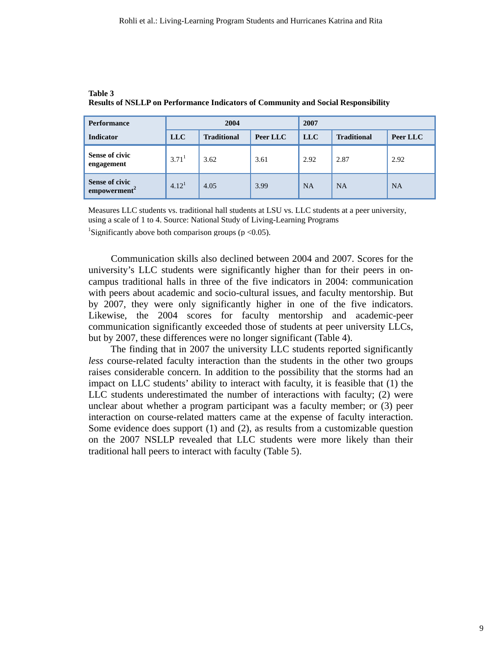| <b>Performance</b>                                | 2004              |                    |          | 2007       |                    |           |
|---------------------------------------------------|-------------------|--------------------|----------|------------|--------------------|-----------|
| <b>Indicator</b>                                  | LLC               | <b>Traditional</b> | Peer LLC | <b>LLC</b> | <b>Traditional</b> | Peer LLC  |
| <b>Sense of civic</b><br>engagement               | 3.71 <sup>1</sup> | 3.62               | 3.61     | 2.92       | 2.87               | 2.92      |
| <b>Sense of civic</b><br>empowerment <sup>2</sup> | 4.12 <sup>1</sup> | 4.05               | 3.99     | <b>NA</b>  | <b>NA</b>          | <b>NA</b> |

| Table 3                                                                                  |  |
|------------------------------------------------------------------------------------------|--|
| <b>Results of NSLLP on Performance Indicators of Community and Social Responsibility</b> |  |

Measures LLC students vs. traditional hall students at LSU vs. LLC students at a peer university, using a scale of 1 to 4. Source: National Study of Living-Learning Programs

<sup>1</sup>Significantly above both comparison groups ( $p < 0.05$ ).

Communication skills also declined between 2004 and 2007. Scores for the university's LLC students were significantly higher than for their peers in oncampus traditional halls in three of the five indicators in 2004: communication with peers about academic and socio-cultural issues, and faculty mentorship. But by 2007, they were only significantly higher in one of the five indicators. Likewise, the 2004 scores for faculty mentorship and academic-peer communication significantly exceeded those of students at peer university LLCs, but by 2007, these differences were no longer significant (Table 4).

The finding that in 2007 the university LLC students reported significantly *less* course-related faculty interaction than the students in the other two groups raises considerable concern. In addition to the possibility that the storms had an impact on LLC students' ability to interact with faculty, it is feasible that (1) the LLC students underestimated the number of interactions with faculty; (2) were unclear about whether a program participant was a faculty member; or (3) peer interaction on course-related matters came at the expense of faculty interaction. Some evidence does support (1) and (2), as results from a customizable question on the 2007 NSLLP revealed that LLC students were more likely than their traditional hall peers to interact with faculty (Table 5).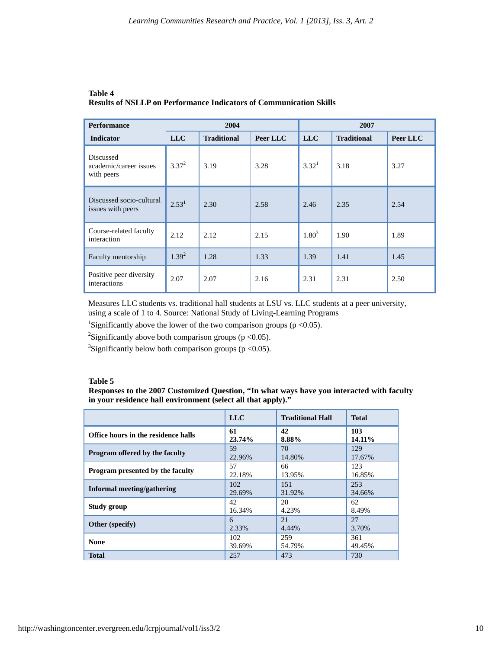| <b>Performance</b>                                | 2004              |                    | 2007     |                   |                    |          |
|---------------------------------------------------|-------------------|--------------------|----------|-------------------|--------------------|----------|
| <b>Indicator</b>                                  | <b>LLC</b>        | <b>Traditional</b> | Peer LLC | <b>LLC</b>        | <b>Traditional</b> | Peer LLC |
| Discussed<br>academic/career issues<br>with peers | $3.37^{2}$        | 3.19               | 3.28     | 3.32 <sup>1</sup> | 3.18               | 3.27     |
| Discussed socio-cultural<br>issues with peers     | 2.53 <sup>1</sup> | 2.30               | 2.58     | 2.46              | 2.35               | 2.54     |
| Course-related faculty<br>interaction             | 2.12              | 2.12               | 2.15     | $1.80^{3}$        | 1.90               | 1.89     |
| Faculty mentorship                                | $1.39^{2}$        | 1.28               | 1.33     | 1.39              | 1.41               | 1.45     |
| Positive peer diversity<br>interactions           | 2.07              | 2.07               | 2.16     | 2.31              | 2.31               | 2.50     |

## **Table 4 Results of NSLLP on Performance Indicators of Communication Skills**

Measures LLC students vs. traditional hall students at LSU vs. LLC students at a peer university, using a scale of 1 to 4. Source: National Study of Living-Learning Programs

<sup>1</sup>Significantly above the lower of the two comparison groups ( $p < 0.05$ ).

<sup>2</sup>Significantly above both comparison groups ( $p < 0.05$ ).

<sup>3</sup>Significantly below both comparison groups ( $p < 0.05$ ).

#### **Table 5**

**Responses to the 2007 Customized Question, "In what ways have you interacted with faculty in your residence hall environment (select all that apply)."** 

|                                     | <b>LLC</b> | <b>Traditional Hall</b> | <b>Total</b> |
|-------------------------------------|------------|-------------------------|--------------|
| Office hours in the residence halls | 61         | 42                      | 103          |
|                                     | 23.74%     | 8.88%                   | 14.11%       |
| Program offered by the faculty      | 59         | 70                      | 129          |
|                                     | 22.96%     | 14.80%                  | 17.67%       |
| Program presented by the faculty    | 57         | 66                      | 123          |
|                                     | 22.18%     | 13.95%                  | 16.85%       |
| Informal meeting/gathering          | 102        | 151                     | 253          |
|                                     | 29.69%     | 31.92%                  | 34.66%       |
| Study group                         | 42         | 20                      | 62           |
|                                     | 16.34%     | 4.23%                   | 8.49%        |
| <b>Other</b> (specify)              | 6          | 21                      | 27           |
|                                     | 2.33%      | 4.44%                   | 3.70%        |
| <b>None</b>                         | 102        | 259                     | 361          |
|                                     | 39.69%     | 54.79%                  | 49.45%       |
| <b>Total</b>                        | 257        | 473                     | 730          |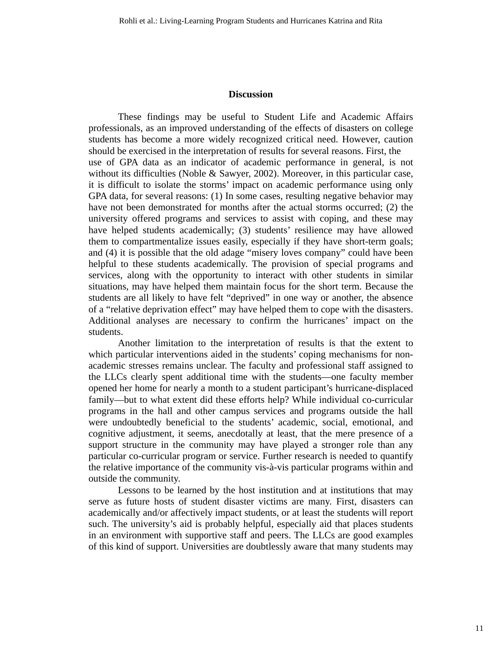## **Discussion**

These findings may be useful to Student Life and Academic Affairs professionals, as an improved understanding of the effects of disasters on college students has become a more widely recognized critical need. However, caution should be exercised in the interpretation of results for several reasons. First, the use of GPA data as an indicator of academic performance in general, is not without its difficulties (Noble & Sawyer, 2002). Moreover, in this particular case, it is difficult to isolate the storms' impact on academic performance using only GPA data, for several reasons: (1) In some cases, resulting negative behavior may have not been demonstrated for months after the actual storms occurred; (2) the university offered programs and services to assist with coping, and these may have helped students academically; (3) students' resilience may have allowed them to compartmentalize issues easily, especially if they have short-term goals; and (4) it is possible that the old adage "misery loves company" could have been helpful to these students academically. The provision of special programs and services, along with the opportunity to interact with other students in similar situations, may have helped them maintain focus for the short term. Because the students are all likely to have felt "deprived" in one way or another, the absence of a "relative deprivation effect" may have helped them to cope with the disasters. Additional analyses are necessary to confirm the hurricanes' impact on the students.

Another limitation to the interpretation of results is that the extent to which particular interventions aided in the students' coping mechanisms for nonacademic stresses remains unclear. The faculty and professional staff assigned to the LLCs clearly spent additional time with the students—one faculty member opened her home for nearly a month to a student participant's hurricane-displaced family—but to what extent did these efforts help? While individual co-curricular programs in the hall and other campus services and programs outside the hall were undoubtedly beneficial to the students' academic, social, emotional, and cognitive adjustment, it seems, anecdotally at least, that the mere presence of a support structure in the community may have played a stronger role than any particular co-curricular program or service. Further research is needed to quantify the relative importance of the community vis-à-vis particular programs within and outside the community.

Lessons to be learned by the host institution and at institutions that may serve as future hosts of student disaster victims are many. First, disasters can academically and/or affectively impact students, or at least the students will report such. The university's aid is probably helpful, especially aid that places students in an environment with supportive staff and peers. The LLCs are good examples of this kind of support. Universities are doubtlessly aware that many students may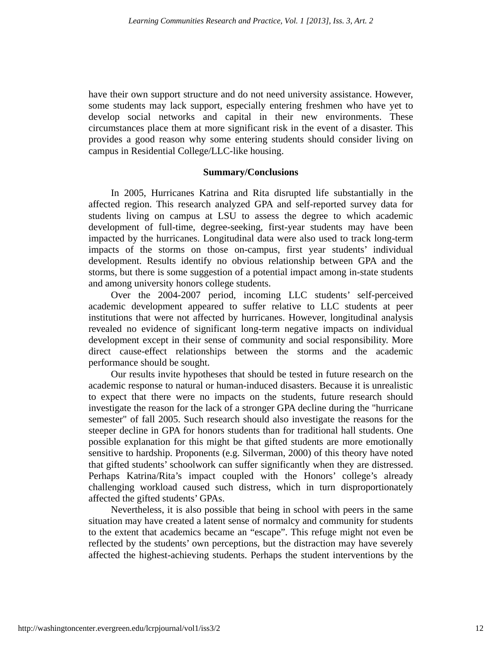have their own support structure and do not need university assistance. However, some students may lack support, especially entering freshmen who have yet to develop social networks and capital in their new environments. These circumstances place them at more significant risk in the event of a disaster. This provides a good reason why some entering students should consider living on campus in Residential College/LLC-like housing.

## **Summary/Conclusions**

In 2005, Hurricanes Katrina and Rita disrupted life substantially in the affected region. This research analyzed GPA and self-reported survey data for students living on campus at LSU to assess the degree to which academic development of full-time, degree-seeking, first-year students may have been impacted by the hurricanes. Longitudinal data were also used to track long-term impacts of the storms on those on-campus, first year students' individual development. Results identify no obvious relationship between GPA and the storms, but there is some suggestion of a potential impact among in-state students and among university honors college students.

Over the 2004-2007 period, incoming LLC students' self-perceived academic development appeared to suffer relative to LLC students at peer institutions that were not affected by hurricanes. However, longitudinal analysis revealed no evidence of significant long-term negative impacts on individual development except in their sense of community and social responsibility. More direct cause-effect relationships between the storms and the academic performance should be sought.

Our results invite hypotheses that should be tested in future research on the academic response to natural or human-induced disasters. Because it is unrealistic to expect that there were no impacts on the students, future research should investigate the reason for the lack of a stronger GPA decline during the "hurricane semester" of fall 2005. Such research should also investigate the reasons for the steeper decline in GPA for honors students than for traditional hall students. One possible explanation for this might be that gifted students are more emotionally sensitive to hardship. Proponents (e.g. Silverman, 2000) of this theory have noted that gifted students' schoolwork can suffer significantly when they are distressed. Perhaps Katrina/Rita's impact coupled with the Honors' college's already challenging workload caused such distress, which in turn disproportionately affected the gifted students' GPAs.

Nevertheless, it is also possible that being in school with peers in the same situation may have created a latent sense of normalcy and community for students to the extent that academics became an "escape". This refuge might not even be reflected by the students' own perceptions, but the distraction may have severely affected the highest-achieving students. Perhaps the student interventions by the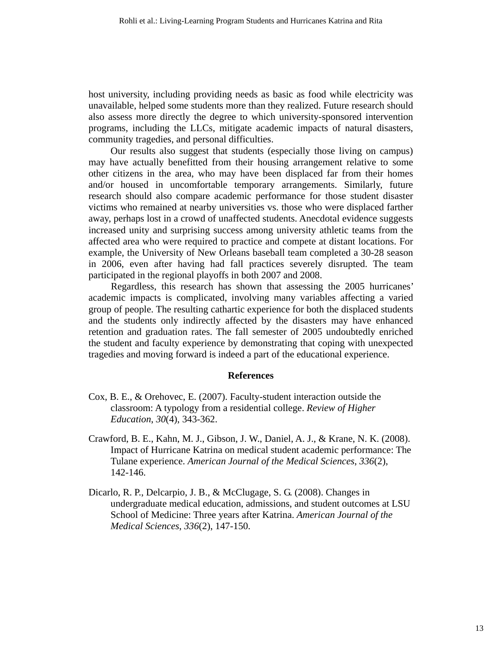host university, including providing needs as basic as food while electricity was unavailable, helped some students more than they realized. Future research should also assess more directly the degree to which university-sponsored intervention programs, including the LLCs, mitigate academic impacts of natural disasters, community tragedies, and personal difficulties.

Our results also suggest that students (especially those living on campus) may have actually benefitted from their housing arrangement relative to some other citizens in the area, who may have been displaced far from their homes and/or housed in uncomfortable temporary arrangements. Similarly, future research should also compare academic performance for those student disaster victims who remained at nearby universities vs. those who were displaced farther away, perhaps lost in a crowd of unaffected students. Anecdotal evidence suggests increased unity and surprising success among university athletic teams from the affected area who were required to practice and compete at distant locations. For example, the University of New Orleans baseball team completed a 30-28 season in 2006, even after having had fall practices severely disrupted. The team participated in the regional playoffs in both 2007 and 2008.

Regardless, this research has shown that assessing the 2005 hurricanes' academic impacts is complicated, involving many variables affecting a varied group of people. The resulting cathartic experience for both the displaced students and the students only indirectly affected by the disasters may have enhanced retention and graduation rates. The fall semester of 2005 undoubtedly enriched the student and faculty experience by demonstrating that coping with unexpected tragedies and moving forward is indeed a part of the educational experience.

### **References**

- Cox, B. E., & Orehovec, E. (2007). Faculty-student interaction outside the classroom: A typology from a residential college. *Review of Higher Education*, *30*(4), 343-362.
- Crawford, B. E., Kahn, M. J., Gibson, J. W., Daniel, A. J., & Krane, N. K. (2008). Impact of Hurricane Katrina on medical student academic performance: The Tulane experience. *American Journal of the Medical Sciences*, *336*(2), 142-146.
- Dicarlo, R. P., Delcarpio, J. B., & McClugage, S. G. (2008). Changes in undergraduate medical education, admissions, and student outcomes at LSU School of Medicine: Three years after Katrina. *American Journal of the Medical Sciences*, *336*(2), 147-150.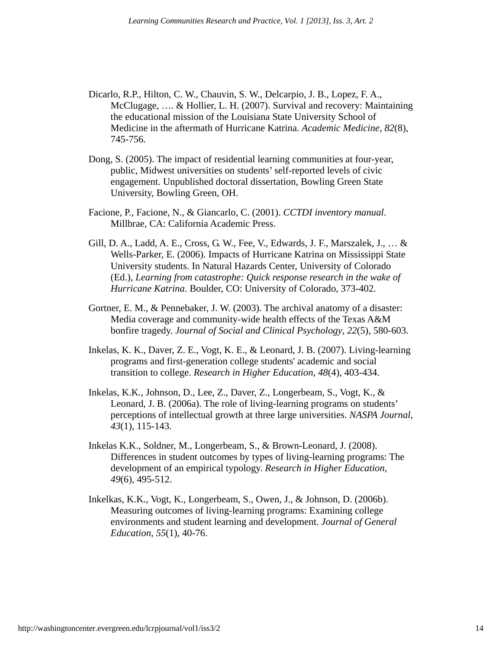- Dicarlo, R.P., Hilton, C. W., Chauvin, S. W., Delcarpio, J. B., Lopez, F. A., McClugage, …. & Hollier, L. H. (2007). Survival and recovery: Maintaining the educational mission of the Louisiana State University School of Medicine in the aftermath of Hurricane Katrina. *Academic Medicine*, *82*(8), 745-756.
- Dong, S. (2005). The impact of residential learning communities at four-year, public, Midwest universities on students' self-reported levels of civic engagement. Unpublished doctoral dissertation, Bowling Green State University, Bowling Green, OH.
- Facione, P., Facione, N., & Giancarlo, C. (2001). *CCTDI inventory manual*. Millbrae, CA: California Academic Press.
- Gill, D. A., Ladd, A. E., Cross, G. W., Fee, V., Edwards, J. F., Marszalek, J., … & Wells-Parker, E. (2006). Impacts of Hurricane Katrina on Mississippi State University students. In Natural Hazards Center, University of Colorado (Ed.), *Learning from catastrophe: Quick response research in the wake of Hurricane Katrina*. Boulder, CO: University of Colorado, 373-402.
- Gortner, E. M., & Pennebaker, J. W. (2003). The archival anatomy of a disaster: Media coverage and community-wide health effects of the Texas A&M bonfire tragedy. *Journal of Social and Clinical Psychology*, *22*(5), 580-603.
- Inkelas, K. K., Daver, Z. E., Vogt, K. E., & Leonard, J. B. (2007). Living-learning programs and first-generation college students' academic and social transition to college. *Research in Higher Education*, *48*(4), 403-434.
- Inkelas, K.K., Johnson, D., Lee, Z., Daver, Z., Longerbeam, S., Vogt, K., & Leonard, J. B. (2006a). The role of living-learning programs on students' perceptions of intellectual growth at three large universities. *NASPA Journal*, *43*(1), 115-143.
- Inkelas K.K., Soldner, M., Longerbeam, S., & Brown-Leonard, J. (2008). Differences in student outcomes by types of living-learning programs: The development of an empirical typology. *Research in Higher Education*, *49*(6), 495-512.
- Inkelkas, K.K., Vogt, K., Longerbeam, S., Owen, J., & Johnson, D. (2006b). Measuring outcomes of living-learning programs: Examining college environments and student learning and development. *Journal of General Education*, *55*(1), 40-76.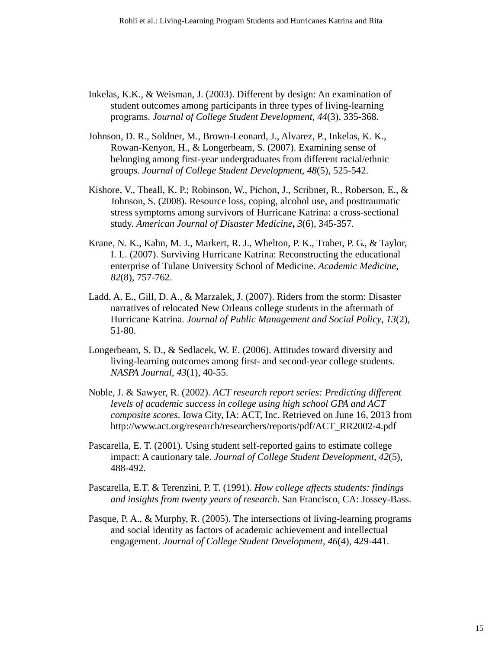- Inkelas, K.K., & Weisman, J. (2003). Different by design: An examination of student outcomes among participants in three types of living-learning programs. *Journal of College Student Development*, *44*(3), 335-368.
- Johnson, D. R., Soldner, M., Brown-Leonard, J., Alvarez, P., Inkelas, K. K., Rowan-Kenyon, H., & Longerbeam, S. (2007). Examining sense of belonging among first-year undergraduates from different racial/ethnic groups. *Journal of College Student Development*, *48*(5), 525-542.
- Kishore, V., Theall, K. P.; Robinson, W., Pichon, J., Scribner, R., Roberson, E., & Johnson, S. (2008). Resource loss, coping, alcohol use, and posttraumatic stress symptoms among survivors of Hurricane Katrina: a cross-sectional study. *American Journal of Disaster Medicine***,** *3*(6), 345-357.
- Krane, N. K., Kahn, M. J., Markert, R. J., Whelton, P. K., Traber, P. G., & Taylor, I. L. (2007). Surviving Hurricane Katrina: Reconstructing the educational enterprise of Tulane University School of Medicine. *Academic Medicine*, *82*(8), 757-762.
- Ladd, A. E., Gill, D. A., & Marzalek, J. (2007). Riders from the storm: Disaster narratives of relocated New Orleans college students in the aftermath of Hurricane Katrina. *Journal of Public Management and Social Policy*, *13*(2), 51-80.
- Longerbeam, S. D., & Sedlacek, W. E. (2006). Attitudes toward diversity and living-learning outcomes among first- and second-year college students. *NASPA Journal*, *43*(1), 40-55.
- Noble, J. & Sawyer, R. (2002). *ACT research report series: Predicting different levels of academic success in college using high school GPA and ACT composite scores*. Iowa City, IA: ACT, Inc. Retrieved on June 16, 2013 from http://www.act.org/research/researchers/reports/pdf/ACT\_RR2002-4.pdf
- Pascarella, E. T. (2001). Using student self-reported gains to estimate college impact: A cautionary tale. *Journal of College Student Development*, *42*(5), 488-492.
- Pascarella, E.T. & Terenzini, P. T. (1991). *How college affects students: findings and insights from twenty years of research*. San Francisco, CA: Jossey-Bass.
- Pasque, P. A., & Murphy, R. (2005). The intersections of living-learning programs and social identity as factors of academic achievement and intellectual engagement. *Journal of College Student Development*, *46*(4), 429-441.